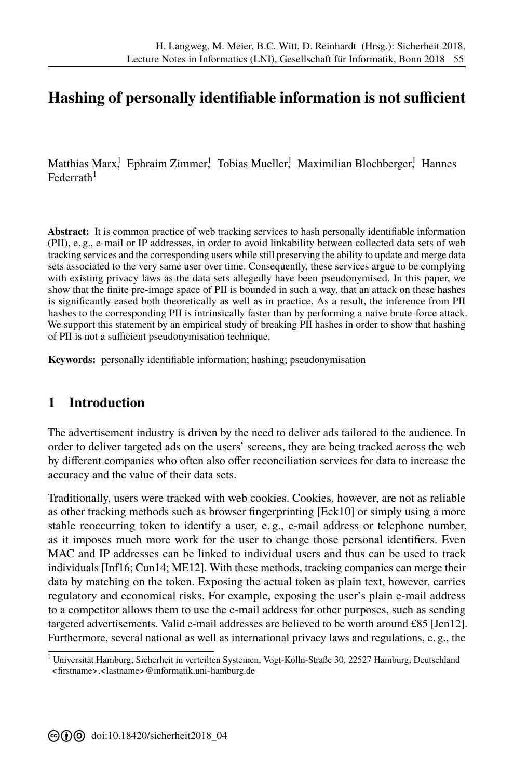# **Hashing of personally identifiable information is not sufficient**

Matthias Marx! Ephraim Zimmer! Tobias Mueller! Maximilian Blochberger! Hannes  $\rm{Federrath}^1$ 

**Abstract:** It is common practice of web tracking services to hash personally identifiable information (PII), e. g., e-mail or IP addresses, in order to avoid linkability between collected data sets of web tracking services and the corresponding users while still preserving the ability to update and merge data sets associated to the very same user over time. Consequently, these services argue to be complying with existing privacy laws as the data sets allegedly have been pseudonymised. In this paper, we show that the finite pre-image space of PII is bounded in such a way, that an attack on these hashes is significantly eased both theoretically as well as in practice. As a result, the inference from PII hashes to the corresponding PII is intrinsically faster than by performing a naive brute-force attack. We support this statement by an empirical study of breaking PII hashes in order to show that hashing of PII is not a sufficient pseudonymisation technique.

**Keywords:** personally identifiable information; hashing; pseudonymisation

## **1 Introduction**

The advertisement industry is driven by the need to deliver ads tailored to the audience. In order to deliver targeted ads on the users' screens, they are being tracked across the web by different companies who often also offer reconciliation services for data to increase the accuracy and the value of their data sets.

Traditionally, users were tracked with web cookies. Cookies, however, are not as reliable as other tracking methods such as browser fingerprinting [Eck10] or simply using a more stable reoccurring token to identify a user, e. g., e-mail address or telephone number, as it imposes much more work for the user to change those personal identifiers. Even MAC and IP addresses can be linked to individual user[s and th](#page-11-0)us can be used to track individuals [Inf16; Cun14; ME12]. With these methods, tracking companies can merge their data by matching on the token. Exposing the actual token as plain text, however, carries regulatory [and ec](#page-12-0)[onomic](#page-11-1)[al risks.](#page-13-0) For example, exposing the user's plain e-mail address to a competitor allows them to use the e-mail address for other purposes, such as sending targeted advertisements. Valid e-mail addresses are believed to be worth around £85 [Jen12]. Furthermore, several national as well as international privacy laws and regulations, [e. g., the](#page-12-1)

<sup>&</sup>lt;sup>1</sup> Universität Hamburg, Sicherheit in verteilten Systemen, Vogt-Kölln-Straße 30, 22527 Hamburg, Deutschland <<firstname>.<lastname>@informatik.uni-hamburg.de>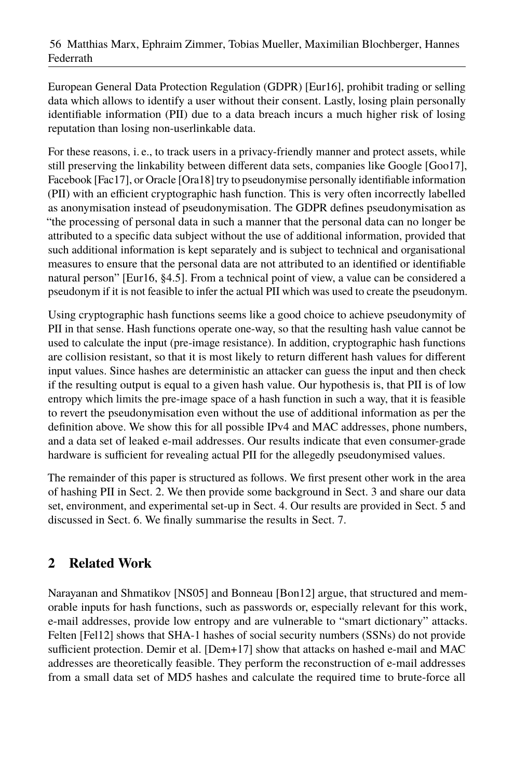European General Data Protection Regulation (GDPR) [\[Eur16\]](#page-12-2), prohibit trading or selling data which allows to identify a user without their consent. Lastly, losing plain personally identifiable information (PII) due to a data breach incurs a much higher risk of losing reputation than losing non-userlinkable data.

For these reasons, i. e., to track users in a privacy-friendly manner and protect assets, while still preserving the linkability between different data sets, companies like Google [\[Goo17\]](#page-12-3), Facebook [\[Fac17\]](#page-12-4), or Oracle [\[Ora18\]](#page-13-1) try to pseudonymise personally identifiable information (PII) with an efficient cryptographic hash function. This is very often incorrectly labelled as anonymisation instead of pseudonymisation. The GDPR defines pseudonymisation as "the processing of personal data in such a manner that the personal data can no longer be attributed to a specific data subject without the use of additional information, provided that such additional information is kept separately and is subject to technical and organisational measures to ensure that the personal data are not attributed to an identified or identifiable natural person" [\[Eur16,](#page-12-2) §4.5]. From a technical point of view, a value can be considered a pseudonym if it is not feasible to infer the actual PII which was used to create the pseudonym.

Using cryptographic hash functions seems like a good choice to achieve pseudonymity of PII in that sense. Hash functions operate one-way, so that the resulting hash value cannot be used to calculate the input (pre-image resistance). In addition, cryptographic hash functions are collision resistant, so that it is most likely to return different hash values for different input values. Since hashes are deterministic an attacker can guess the input and then check if the resulting output is equal to a given hash value. Our hypothesis is, that PII is of low entropy which limits the pre-image space of a hash function in such a way, that it is feasible to revert the pseudonymisation even without the use of additional information as per the definition above. We show this for all possible IPv4 and MAC addresses, phone numbers, and a data set of leaked e-mail addresses. Our results indicate that even consumer-grade hardware is sufficient for revealing actual PII for the allegedly pseudonymised values.

The remainder of this paper is structured as follows. We first present other work in the area of hashing PII in [Sect. 2.](#page-1-0) We then provide some background in [Sect. 3](#page-2-0) and share our data set, environment, and experimental set-up in [Sect. 4.](#page-3-0) Our results are provided in [Sect. 5](#page-5-0) and discussed in [Sect. 6.](#page-8-0) We finally summarise the results in [Sect. 7.](#page-11-2)

# <span id="page-1-0"></span>**2 Related Work**

Narayanan and Shmatikov [\[NS05\]](#page-13-2) and Bonneau [\[Bon12\]](#page-11-3) argue, that structured and memorable inputs for hash functions, such as passwords or, especially relevant for this work, e-mail addresses, provide low entropy and are vulnerable to "smart dictionary" attacks. Felten [\[Fel12\]](#page-12-5) shows that SHA-1 hashes of social security numbers (SSNs) do not provide sufficient protection. Demir et al. [\[Dem+17\]](#page-11-4) show that attacks on hashed e-mail and MAC addresses are theoretically feasible. They perform the reconstruction of e-mail addresses from a small data set of MD5 hashes and calculate the required time to brute-force all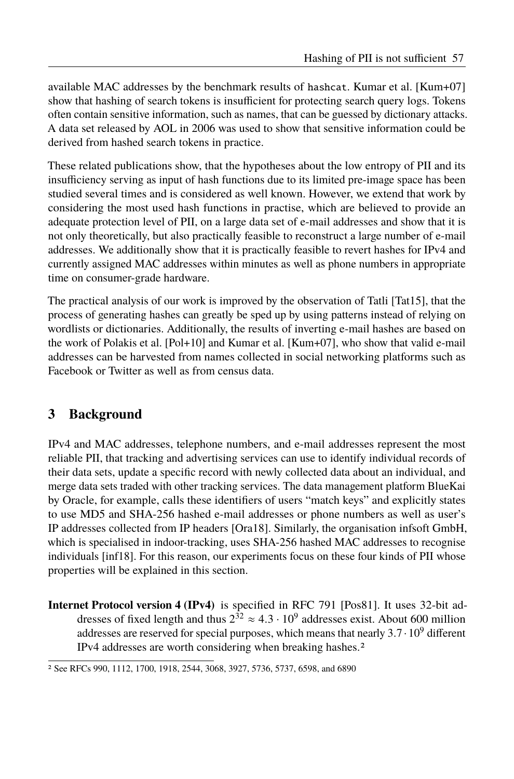available MAC addresses by the benchmark results of hashcat. Kumar et al. [\[Kum+07\]](#page-13-3) show that hashing of search tokens is insufficient for protecting search query logs. Tokens often contain sensitive information, such as names, that can be guessed by dictionary attacks. A data set released by AOL in 2006 was used to show that sensitive information could be derived from hashed search tokens in practice.

These related publications show, that the hypotheses about the low entropy of PII and its insufficiency serving as input of hash functions due to its limited pre-image space has been studied several times and is considered as well known. However, we extend that work by considering the most used hash functions in practise, which are believed to provide an adequate protection level of PII, on a large data set of e-mail addresses and show that it is not only theoretically, but also practically feasible to reconstruct a large number of e-mail addresses. We additionally show that it is practically feasible to revert hashes for IPv4 and currently assigned MAC addresses within minutes as well as phone numbers in appropriate time on consumer-grade hardware.

The practical analysis of our work is improved by the observation of Tatli [\[Tat15\]](#page-13-4), that the process of generating hashes can greatly be sped up by using patterns instead of relying on wordlists or dictionaries. Additionally, the results of inverting e-mail hashes are based on the work of Polakis et al. [\[Pol+10\]](#page-13-5) and Kumar et al. [\[Kum+07\]](#page-13-3), who show that valid e-mail addresses can be harvested from names collected in social networking platforms such as Facebook or Twitter as well as from census data.

# <span id="page-2-0"></span>**3 Background**

IPv4 and MAC addresses, telephone numbers, and e-mail addresses represent the most reliable PII, that tracking and advertising services can use to identify individual records of their data sets, update a specific record with newly collected data about an individual, and merge data sets traded with other tracking services. The data management platform BlueKai by Oracle, for example, calls these identifiers of users "match keys" and explicitly states to use MD5 and SHA-256 hashed e-mail addresses or phone numbers as well as user's IP addresses collected from IP headers [\[Ora18\]](#page-13-1). Similarly, the organisation infsoft GmbH, which is specialised in indoor-tracking, uses SHA-256 hashed MAC addresses to recognise individuals [\[inf18\]](#page-12-6). For this reason, our experiments focus on these four kinds of PII whose properties will be explained in this section.

**Internet Protocol version 4 (IPv4)** is specified in RFC 791 [\[Pos81\]](#page-13-6). It uses 32-bit addresses of fixed length and thus  $2^{32} \approx 4.3 \cdot 10^9$  addresses exist. About 600 million addresses are reserved for special purposes, which means that nearly  $3.7 \cdot 10^9$  different IPv4 addresses are worth considering when breaking hashes.[2](#page-2-1)

<span id="page-2-1"></span><sup>2</sup> See RFCs 990, 1112, 1700, 1918, 2544, 3068, 3927, 5736, 5737, 6598, and 6890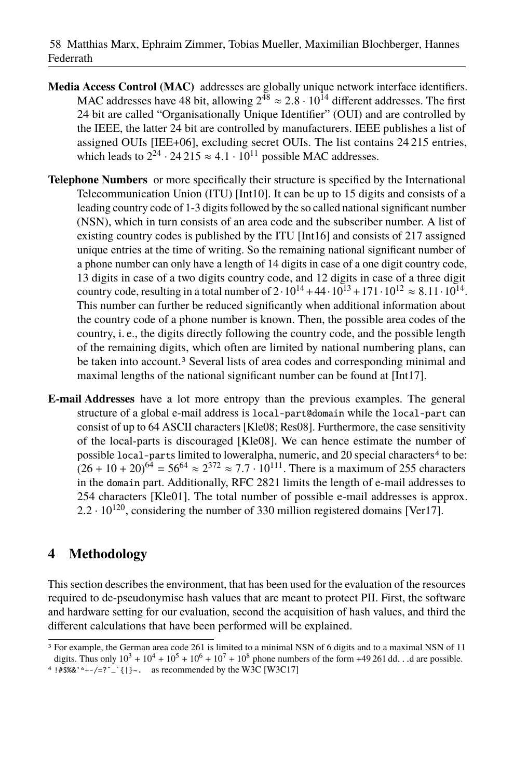- **Media Access Control (MAC)** addresses are globally unique network interface identifiers. MAC addresses have 48 bit, allowing  $2^{48} \approx 2.8 \cdot 10^{14}$  different addresses. The first 24 bit are called "Organisationally Unique Identifier" (OUI) and are controlled by the IEEE, the latter 24 bit are controlled by manufacturers. IEEE publishes a list of assigned OUIs [\[IEE+06\]](#page-12-7), excluding secret OUIs. The list contains 24 215 entries, which leads to  $2^{24} \cdot 24215 \approx 4.1 \cdot 10^{11}$  possible MAC addresses.
- **Telephone Numbers** or more specifically their structure is specified by the International Telecommunication Union (ITU) [\[Int10\]](#page-12-8). It can be up to 15 digits and consists of a leading country code of 1-3 digits followed by the so called national significant number (NSN), which in turn consists of an area code and the subscriber number. A list of existing country codes is published by the ITU [\[Int16\]](#page-12-9) and consists of 217 assigned unique entries at the time of writing. So the remaining national significant number of a phone number can only have a length of 14 digits in case of a one digit country code, 13 digits in case of a two digits country code, and 12 digits in case of a three digit country code, resulting in a total number of  $2 \cdot 10^{14} + 44 \cdot 10^{13} + 171 \cdot 10^{12} \approx 8.11 \cdot 10^{14}$ . This number can further be reduced significantly when additional information about the country code of a phone number is known. Then, the possible area codes of the country, i. e., the digits directly following the country code, and the possible length of the remaining digits, which often are limited by national numbering plans, can be taken into account.[3](#page-3-1) Several lists of area codes and corresponding minimal and maximal lengths of the national significant number can be found at [\[Int17\]](#page-12-10).
- **E-mail Addresses** have a lot more entropy than the previous examples. The general structure of a global e-mail address is local-part@domain while the local-part can consist of up to 64 ASCII characters [\[Kle08;](#page-13-7) [Res08\]](#page-13-8). Furthermore, the case sensitivity of the local-parts is discouraged [\[Kle08\]](#page-13-7). We can hence estimate the number of possible local-parts limited to loweralpha, numeric, and 20 special characters<sup>[4](#page-3-2)</sup> to be:  $(26 + 10 + 20)^{64} = 56^{64} \approx 2^{372} \approx 7.7 \cdot 10^{111}$ . There is a maximum of 255 characters in the domain part. Additionally, RFC 2821 limits the length of e-mail addresses to 254 characters [\[Kle01\]](#page-12-11). The total number of possible e-mail addresses is approx.  $2.2 \cdot 10^{120}$ , considering the number of 330 million registered domains [\[Ver17\]](#page-13-9).

# <span id="page-3-0"></span>**4 Methodology**

This section describes the environment, that has been used for the evaluation of the resources required to de-pseudonymise hash values that are meant to protect PII. First, the software and hardware setting for our evaluation, second the acquisition of hash values, and third the different calculations that have been performed will be explained.

```
 [W3C17]
```
<span id="page-3-1"></span><sup>&</sup>lt;sup>3</sup> For example, the German area code 261 is limited to a minimal NSN of 6 digits and to a maximal NSN of 11 digits. Thus only  $10^3 + 10^4 + 10^5 + 10^6 + 10^7 + 10^8$  phone numbers of the form +49 261 dd... d are possible.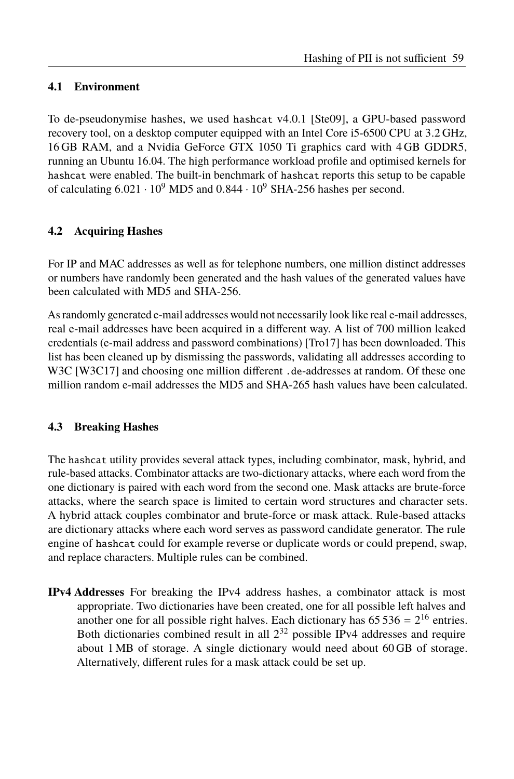#### <span id="page-4-0"></span>**4.1 Environment**

To de-pseudonymise hashes, we used hashcat v4.0.1 [\[Ste09\]](#page-13-11), a GPU-based password recovery tool, on a desktop computer equipped with an Intel Core i5-6500 CPU at 3.2 GHz, 16 GB RAM, and a Nvidia GeForce GTX 1050 Ti graphics card with 4 GB GDDR5, running an Ubuntu 16.04. The high performance workload profile and optimised kernels for hashcat were enabled. The built-in benchmark of hashcat reports this setup to be capable of calculating  $6.021 \cdot 10^9$  MD5 and  $0.844 \cdot 10^9$  SHA-256 hashes per second.

## **4.2 Acquiring Hashes**

For IP and MAC addresses as well as for telephone numbers, one million distinct addresses or numbers have randomly been generated and the hash values of the generated values have been calculated with MD5 and SHA-256.

As randomly generated e-mail addresses would not necessarily look like real e-mail addresses, real e-mail addresses have been acquired in a different way. A list of 700 million leaked credentials (e-mail address and password combinations) [\[Tro17\]](#page-13-12) has been downloaded. This list has been cleaned up by dismissing the passwords, validating all addresses according to W3C [\[W3C17\]](#page-13-10) and choosing one million different .de-addresses at random. Of these one million random e-mail addresses the MD5 and SHA-265 hash values have been calculated.

#### **4.3 Breaking Hashes**

The hashcat utility provides several attack types, including combinator, mask, hybrid, and rule-based attacks. Combinator attacks are two-dictionary attacks, where each word from the one dictionary is paired with each word from the second one. Mask attacks are brute-force attacks, where the search space is limited to certain word structures and character sets. A hybrid attack couples combinator and brute-force or mask attack. Rule-based attacks are dictionary attacks where each word serves as password candidate generator. The rule engine of hashcat could for example reverse or duplicate words or could prepend, swap, and replace characters. Multiple rules can be combined.

**IPv4 Addresses** For breaking the IPv4 address hashes, a combinator attack is most appropriate. Two dictionaries have been created, one for all possible left halves and another one for all possible right halves. Each dictionary has  $65\,536 = 2^{16}$  entries. Both dictionaries combined result in all  $2^{32}$  possible IPv4 addresses and require about 1 MB of storage. A single dictionary would need about 60 GB of storage. Alternatively, different rules for a mask attack could be set up.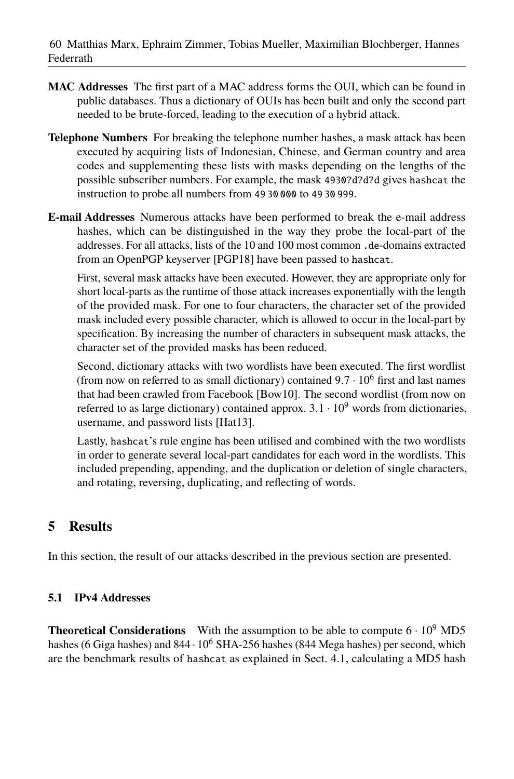- **MAC Addresses** The first part of a MAC address forms the OUI, which can be found in public databases. Thus a dictionary of OUIs has been built and only the second part needed to be brute-forced, leading to the execution of a hybrid attack.
- **Telephone Numbers** For breaking the telephone number hashes, a mask attack has been executed by acquiring lists of Indonesian, Chinese, and German country and area codes and supplementing these lists with masks depending on the lengths of the possible subscriber numbers. For example, the mask 4930?d?d?d gives hashcat the instruction to probe all numbers from 49 30 000 to 49 30 999.
- **E-mail Addresses** Numerous attacks have been performed to break the e-mail address hashes, which can be distinguished in the way they probe the local-part of the addresses. For all attacks, lists of the 10 and 100 most common .de-domains extracted from an OpenPGP keyserver [\[PGP18\]](#page-13-13) have been passed to hashcat.

First, several mask attacks have been executed. However, they are appropriate only for short local-parts as the runtime of those attack increases exponentially with the length of the provided mask. For one to four characters, the character set of the provided mask included every possible character, which is allowed to occur in the local-part by specification. By increasing the number of characters in subsequent mask attacks, the character set of the provided masks has been reduced.

Second, dictionary attacks with two wordlists have been executed. The first wordlist (from now on referred to as small dictionary) contained  $9.7 \cdot 10^6$  first and last names that had been crawled from Facebook [\[Bow10\]](#page-11-5). The second wordlist (from now on referred to as large dictionary) contained approx.  $3.1 \cdot 10^9$  words from dictionaries. username, and password lists [\[Hat13\]](#page-12-12).

Lastly, hashcat's rule engine has been utilised and combined with the two wordlists in order to generate several local-part candidates for each word in the wordlists. This included prepending, appending, and the duplication or deletion of single characters, and rotating, reversing, duplicating, and reflecting of words.

# <span id="page-5-0"></span>**5 Results**

In this section, the result of our attacks described in the previous section are presented.

## **5.1 IPv4 Addresses**

**Theoretical Considerations** With the assumption to be able to compute  $6 \cdot 10^9$  MD5 hashes (6 Giga hashes) and  $844 \cdot 10^6$  SHA-256 hashes (844 Mega hashes) per second, which are the benchmark results of hashcat as explained in [Sect. 4.1,](#page-4-0) calculating a MD5 hash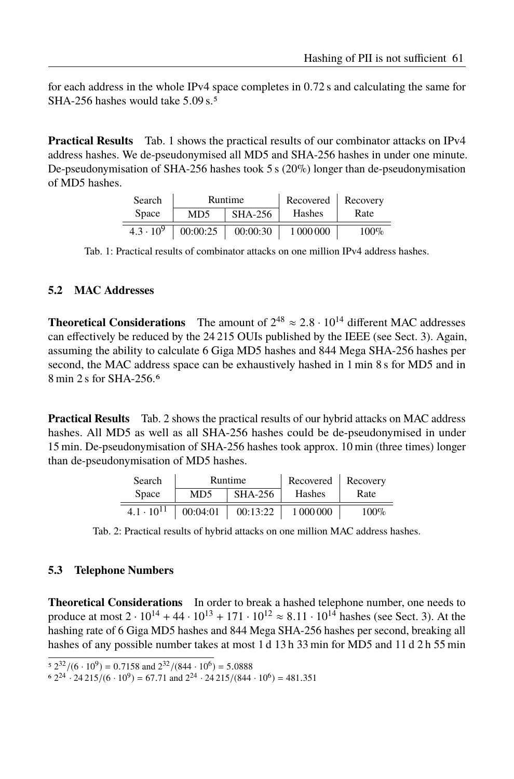for each address in the whole IPv4 space completes in 0.72 s and calculating the same for SHA-2[5](#page-6-0)6 hashes would take 5.09 s.<sup>5</sup>

<span id="page-6-1"></span>**Practical Results** [Tab. 1](#page-6-1) shows the practical results of our combinator attacks on IPv4 address hashes. We de-pseudonymised all MD5 and SHA-256 hashes in under one minute. De-pseudonymisation of SHA-256 hashes took 5 s  $(20\%)$  longer than de-pseudonymisation of MD5 hashes.

| Search             | Runtime        |          | Recovered | Recovery |
|--------------------|----------------|----------|-----------|----------|
| Space              | MD5<br>SHA-256 |          | Hashes    | Rate     |
| $4.3 \cdot 10^{9}$ | 00:00:25       | 00:00:30 | 1 000 000 | $100\%$  |

Tab. 1: Practical results of combinator attacks on one million IPv4 address hashes.

#### **5.2 MAC Addresses**

**Theoretical Considerations** The amount of  $2^{48} \approx 2.8 \cdot 10^{14}$  different MAC addresses can effectively be reduced by the 24 215 OUIs published by the IEEE (see [Sect. 3\)](#page-2-0). Again, assuming the ability to calculate 6 Giga MD5 hashes and 844 Mega SHA-256 hashes per second, the MAC address space can be exhaustively hashed in 1 min 8 s for MD5 and in 8 min 2 s for SHA-256.[6](#page-6-2)

<span id="page-6-3"></span>**Practical Results** Tab. [2](#page-6-3) shows the practical results of our hybrid attacks on MAC address hashes. All MD5 as well as all SHA-256 hashes could be de-pseudonymised in under 15 min. De-pseudonymisation of SHA-256 hashes took approx. 10 min (three times) longer than de-pseudonymisation of MD5 hashes.

| Search              | Runtime               |          | Recovered   Recovery |         |
|---------------------|-----------------------|----------|----------------------|---------|
| <b>Space</b>        | <b>SHA-256</b><br>MD5 |          | Hashes               | Rate    |
| $4.1 \cdot 10^{11}$ | 00:04:01              | 00:13:22 | 1 000 000            | $100\%$ |

Tab. 2: Practical results of hybrid attacks on one million MAC address hashes.

#### **5.3 Telephone Numbers**

**Theoretical Considerations** In order to break a hashed telephone number, one needs to produce at most  $2 \cdot 10^{14} + 44 \cdot 10^{13} + 171 \cdot 10^{12} \approx 8.11 \cdot 10^{14}$  hashes (see [Sect. 3\)](#page-2-0). At the hashing rate of 6 Giga MD5 hashes and 844 Mega SHA-256 hashes per second, breaking all hashes of any possible number takes at most 1 d 13 h 33 min for MD5 and 11 d 2 h 55 min

<span id="page-6-0"></span> $\frac{(32.2)(6 \cdot 10^9)}{2} = 0.7158$  and  $\frac{2^{32}}{(844 \cdot 10^6)} = 5.0888$ 

<span id="page-6-2"></span> $6.2^{24} \cdot 24.215/(6 \cdot 10^9) = 67.71$  and  $2^{24} \cdot 24.215/(844 \cdot 10^6) = 481.351$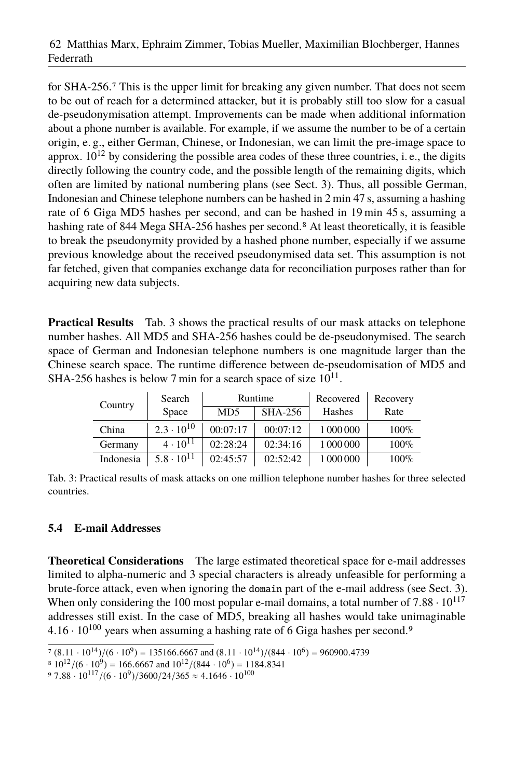for SHA-256.[7](#page-7-0) This is the upper limit for breaking any given number. That does not seem to be out of reach for a determined attacker, but it is probably still too slow for a casual de-pseudonymisation attempt. Improvements can be made when additional information about a phone number is available. For example, if we assume the number to be of a certain origin, e. g., either German, Chinese, or Indonesian, we can limit the pre-image space to approx.  $10^{12}$  by considering the possible area codes of these three countries, i.e., the digits directly following the country code, and the possible length of the remaining digits, which often are limited by national numbering plans (see [Sect. 3\)](#page-2-0). Thus, all possible German, Indonesian and Chinese telephone numbers can be hashed in 2 min 47 s, assuming a hashing rate of 6 Giga MD5 hashes per second, and can be hashed in 19 min 45 s, assuming a hashing rate of [8](#page-7-1)44 Mega SHA-256 hashes per second.<sup>8</sup> At least theoretically, it is feasible to break the pseudonymity provided by a hashed phone number, especially if we assume previous knowledge about the received pseudonymised data set. This assumption is not far fetched, given that companies exchange data for reconciliation purposes rather than for acquiring new data subjects.

**Practical Results** Tab. [3](#page-7-2) shows the practical results of our mask attacks on telephone number hashes. All MD5 and SHA-256 hashes could be de-pseudonymised. The search space of German and Indonesian telephone numbers is one magnitude larger than the Chinese search space. The runtime difference between de-pseudomisation of MD5 and SHA-256 hashes is below 7 min for a search space of size  $10^{11}$ .

<span id="page-7-2"></span>

| Country   | Search              | Runtime          |                | Recovered | Recovery |
|-----------|---------------------|------------------|----------------|-----------|----------|
|           | Space               | M <sub>D</sub> 5 | <b>SHA-256</b> | Hashes    | Rate     |
| China     | $2.3 \cdot 10^{10}$ | 00:07:17         | 00:07:12       | 1 000 000 | 100%     |
| Germany   | $4 \cdot 10^{11}$   | 02:28:24         | 02:34:16       | 1 000 000 | 100%     |
| Indonesia | $5.8 \cdot 10^{11}$ | 02:45:57         | 02:52:42       | 1 000 000 | 100%     |

Tab. 3: Practical results of mask attacks on one million telephone number hashes for three selected countries.

## **5.4 E-mail Addresses**

**Theoretical Considerations** The large estimated theoretical space for e-mail addresses limited to alpha-numeric and 3 special characters is already unfeasible for performing a brute-force attack, even when ignoring the domain part of the e-mail address (see [Sect. 3\)](#page-2-0). When only considering the 100 most popular e-mail domains, a total number of  $7.88 \cdot 10^{117}$ addresses still exist. In the case of MD5, breaking all hashes would take unimaginable  $4.16 \cdot 10^{100}$  years when assuming a hashing rate of 6 Giga hashes per second.<sup>[9](#page-7-3)</sup>

<span id="page-7-0"></span> $(7(8.11 \cdot 10^{14})/(6 \cdot 10^{9}) = 135166.6667$  and  $(8.11 \cdot 10^{14})/(844 \cdot 10^{6}) = 960900.4739$ 

<span id="page-7-1"></span> $\frac{(8.10^{12})}{(6.10^{9})} = 166.6667$  and  $\frac{10^{12}}{(844 \cdot 10^{6})} = \frac{1184.8341}{100}$ 

<span id="page-7-3"></span> $97.88 \cdot 10^{117} / (6 \cdot 10^9) / 3600 / 24 / 365 \approx 4.1646 \cdot 10^{100}$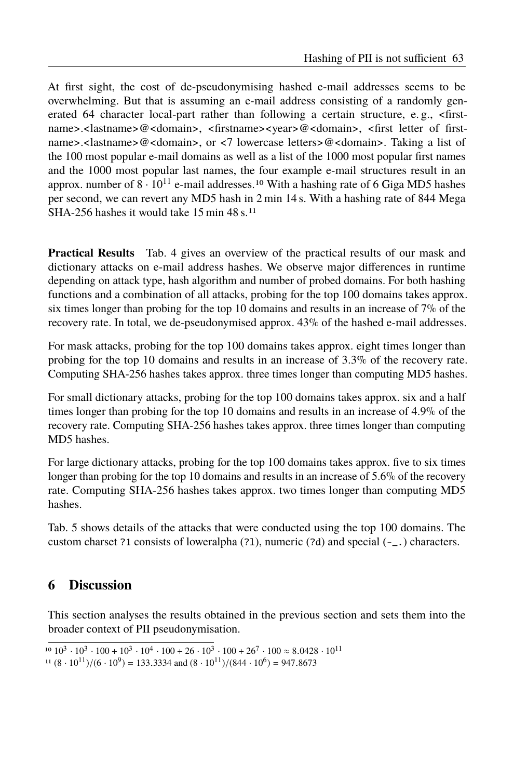At first sight, the cost of de-pseudonymising hashed e-mail addresses seems to be overwhelming. But that is assuming an e-mail address consisting of a randomly generated 64 character local-part rather than following a certain structure, e.g., <firstname>.<lastname>@<domain>, <firstname><year>@<domain>, <first letter of firstname>.<lastname>@<domain>, or <7 lowercase letters>@<domain>. Taking a list of the 100 most popular e-mail domains as well as a list of the 1000 most popular first names and the 1000 most popular last names, the four example e-mail structures result in an approx. number of  $8 \cdot 10^{11}$  $8 \cdot 10^{11}$  $8 \cdot 10^{11}$  e-mail addresses.<sup>10</sup> With a hashing rate of 6 Giga MD5 hashes per second, we can revert any MD5 hash in 2 min 14 s. With a hashing rate of 844 Mega SHA-256 hashes it would take 15 min 48 s.<sup>[11](#page-8-2)</sup>

**Practical Results** Tab. [4](#page-9-0) gives an overview of the practical results of our mask and dictionary attacks on e-mail address hashes. We observe major differences in runtime depending on attack type, hash algorithm and number of probed domains. For both hashing functions and a combination of all attacks, probing for the top 100 domains takes approx. six times longer than probing for the top 10 domains and results in an increase of  $7\%$  of the recovery rate. In total, we de-pseudonymised approx. 43% of the hashed e-mail addresses.

For mask attacks, probing for the top 100 domains takes approx. eight times longer than probing for the top 10 domains and results in an increase of 3.3% of the recovery rate. Computing SHA-256 hashes takes approx. three times longer than computing MD5 hashes.

For small dictionary attacks, probing for the top 100 domains takes approx. six and a half times longer than probing for the top 10 domains and results in an increase of 4.9% of the recovery rate. Computing SHA-256 hashes takes approx. three times longer than computing MD5 hashes.

For large dictionary attacks, probing for the top 100 domains takes approx. five to six times longer than probing for the top 10 domains and results in an increase of 5.6% of the recovery rate. Computing SHA-256 hashes takes approx. two times longer than computing MD5 hashes.

Tab. [5](#page-9-1) shows details of the attacks that were conducted using the top 100 domains. The custom charset ?1 consists of loweralpha (?l), numeric (?d) and special (-\_.) characters.

## <span id="page-8-0"></span>**6 Discussion**

This section analyses the results obtained in the previous section and sets them into the broader context of PII pseudonymisation.

<span id="page-8-1"></span><sup>&</sup>lt;sup>10</sup>  $10^3 \cdot 10^3 \cdot 100 + 10^3 \cdot 10^4 \cdot 100 + 26 \cdot 10^3 \cdot 100 + 26^7 \cdot 100 \approx 8.0428 \cdot 10^{11}$ 

<span id="page-8-2"></span> $11 (8 \cdot 10^{11})/(6 \cdot 10^9) = 133.3334$  and  $(8 \cdot 10^{11})/(844 \cdot 10^6) = 947.8673$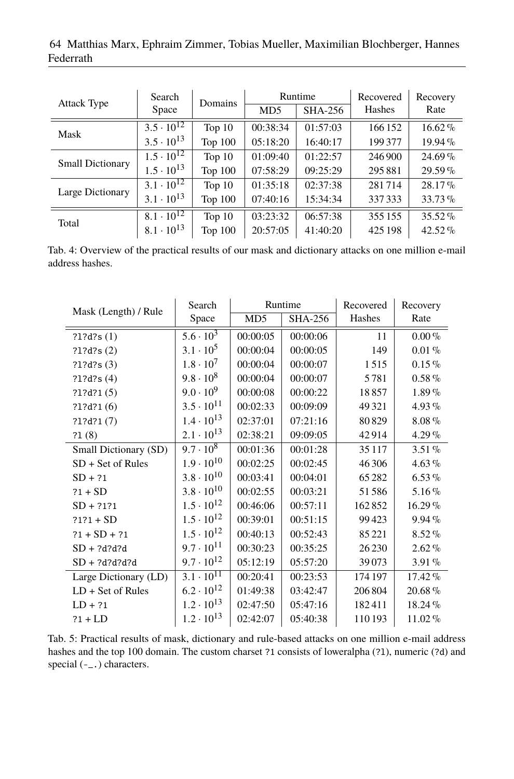48 Matthias Marx, Ephraim Zimmer, Tobias Mueller, Maximilian Blochberger, Hannes Federrath 64 Matthias Marx, Ephraim Zimmer, Tobias Mueller, Maximilian Blochberger, Hannes Federrath

<span id="page-9-0"></span>

| <b>Attack Type</b>      | Search                         | Domains        | Runtime          |                | Recovered | Recovery  |
|-------------------------|--------------------------------|----------------|------------------|----------------|-----------|-----------|
|                         | Space                          |                | M <sub>D</sub> 5 | <b>SHA-256</b> | Hashes    | Rate      |
| Mask                    | $3.5 \cdot 10^{12}$            | Top $10$       | 00:38:34         | 01:57:03       | 166 152   | $16.62\%$ |
|                         | $3.5 \cdot 10^{13}$            | <b>Top 100</b> | 05:18:20         | 16:40:17       | 199377    | $19.94\%$ |
| <b>Small Dictionary</b> | $1.5 \cdot 10^{12}$            | Top $10$       | 01:09:40         | 01:22:57       | 246 900   | $24.69\%$ |
|                         | $1.5 \cdot 10^{13}$            | <b>Top 100</b> | 07:58:29         | 09:25:29       | 295881    | $29.59\%$ |
|                         | $3.1 \cdot 10^{12}$            | Top $10$       | 01:35:18         | 02:37:38       | 281714    | $28.17\%$ |
| Large Dictionary        | $3.1 \cdot 10^{13}$            | Top 100        | 07:40:16         | 15:34:34       | 337333    | $33.73\%$ |
|                         | $8.1 \cdot \overline{10^{12}}$ | Top $10$       | 03:23:32         | 06:57:38       | 355 155   | $35.52\%$ |
| Total                   | $8.1 \cdot 10^{13}$            | Top 100        | 20:57:05         | 41:40:20       | 425 198   | $42.52\%$ |

Tab. 4: Overview of the practical results of our mask and dictionary attacks on one million e-mail address hashes.

<span id="page-9-1"></span>

| Mask (Length) / Rule  | Search                      | Runtime         |                | Recovered | Recovery  |
|-----------------------|-----------------------------|-----------------|----------------|-----------|-----------|
|                       | Space                       | MD <sub>5</sub> | <b>SHA-256</b> | Hashes    | Rate      |
| ?1?d?s(1)             | $5.6 \cdot \overline{10^3}$ | 00:00:05        | 00:00:06       | 11        | $0.00\%$  |
| ?1?d?s(2)             | $3.1 \cdot 10^5$            | 00:00:04        | 00:00:05       | 149       | $0.01\%$  |
| ?1?d?s(3)             | $1.8 \cdot 10^{7}$          | 00:00:04        | 00:00:07       | 1515      | $0.15\%$  |
| ?1?d?s(4)             | $9.8 \cdot 10^8$            | 00:00:04        | 00:00:07       | 5781      | $0.58\%$  |
| ?1?d?1(5)             | $9.0 \cdot 10^9$            | 00:00:08        | 00:00:22       | 18857     | $1.89\%$  |
| ?1?d?1(6)             | $3.5 \cdot 10^{11}$         | 00:02:33        | 00:09:09       | 49 3 21   | $4.93\%$  |
| ?1?d?1(7)             | $1.4 \cdot 10^{13}$         | 02:37:01        | 07:21:16       | 80829     | $8.08\%$  |
| 21(8)                 | $2.1 \cdot 10^{13}$         | 02:38:21        | 09:09:05       | 42914     | $4.29\%$  |
| Small Dictionary (SD) | $9.7 \cdot 10^8$            | 00:01:36        | 00:01:28       | 35 1 17   | $3.51\%$  |
| SD + Set of Rules     | $1.9 \cdot 10^{10}$         | 00:02:25        | 00:02:45       | 46 30 6   | $4.63\%$  |
| $SD + ?1$             | $3.8 \cdot 10^{10}$         | 00:03:41        | 00:04:01       | 65282     | $6.53\%$  |
| $?1 + SD$             | $3.8 \cdot 10^{10}$         | 00:02:55        | 00:03:21       | 51586     | $5.16\%$  |
| $SD + ?1?1$           | $1.5 \cdot 10^{12}$         | 00:46:06        | 00:57:11       | 162852    | $16.29\%$ |
| $?1?1 + SD$           | $1.5 \cdot 10^{12}$         | 00:39:01        | 00:51:15       | 99423     | $9.94\%$  |
| $?1 + SD + ?1$        | $1.5 \cdot 10^{12}$         | 00:40:13        | 00:52:43       | 85 221    | $8.52\%$  |
| $SD + ?d?d?d$         | $9.7 \cdot 10^{11}$         | 00:30:23        | 00:35:25       | 26 230    | $2.62\%$  |
| $SD + ?d?d?d?d$       | $9.7 \cdot 10^{12}$         | 05:12:19        | 05:57:20       | 39073     | $3.91\%$  |
| Large Dictionary (LD) | $3.1 \cdot 10^{11}$         | 00:20:41        | 00:23:53       | 174 197   | 17.42%    |
| $LD + Set of Rules$   | $6.2 \cdot 10^{12}$         | 01:49:38        | 03:42:47       | 206 804   | $20.68\%$ |
| $LD + ?1$             | $1.2 \cdot 10^{13}$         | 02:47:50        | 05:47:16       | 182411    | 18.24%    |
| $?1 + LD$             | $1.2 \cdot 10^{13}$         | 02:42:07        | 05:40:38       | 110193    | 11.02%    |

Tab. 5: Practical results of mask, dictionary and rule-based attacks on one million e-mail address hashes and the top 100 domain. The custom charset ?1 consists of loweralpha (?1), numeric (?d) and special (-\_.) characters.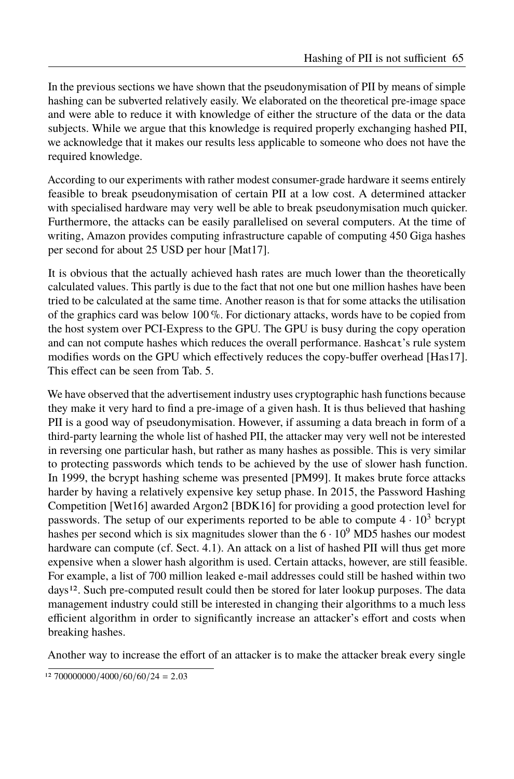In the previous sections we have shown that the pseudonymisation of PII by means of simple hashing can be subverted relatively easily. We elaborated on the theoretical pre-image space and were able to reduce it with knowledge of either the structure of the data or the data subjects. While we argue that this knowledge is required properly exchanging hashed PII, we acknowledge that it makes our results less applicable to someone who does not have the required knowledge.

According to our experiments with rather modest consumer-grade hardware it seems entirely feasible to break pseudonymisation of certain PII at a low cost. A determined attacker with specialised hardware may very well be able to break pseudonymisation much quicker. Furthermore, the attacks can be easily parallelised on several computers. At the time of writing, Amazon provides computing infrastructure capable of computing 450 Giga hashes per second for about 25 USD per hour [\[Mat17\]](#page-13-14).

It is obvious that the actually achieved hash rates are much lower than the theoretically calculated values. This partly is due to the fact that not one but one million hashes have been tried to be calculated at the same time. Another reason is that for some attacks the utilisation of the graphics card was below 100 %. For dictionary attacks, words have to be copied from the host system over PCI-Express to the GPU. The GPU is busy during the copy operation and can not compute hashes which reduces the overall performance. Hashcat's rule system modifies words on the GPU which effectively reduces the copy-buffer overhead [\[Has17\]](#page-12-13). This effect can be seen from Tab. [5.](#page-9-1)

We have observed that the advertisement industry uses cryptographic hash functions because they make it very hard to find a pre-image of a given hash. It is thus believed that hashing PII is a good way of pseudonymisation. However, if assuming a data breach in form of a third-party learning the whole list of hashed PII, the attacker may very well not be interested in reversing one particular hash, but rather as many hashes as possible. This is very similar to protecting passwords which tends to be achieved by the use of slower hash function. In 1999, the bcrypt hashing scheme was presented [\[PM99\]](#page-13-15). It makes brute force attacks harder by having a relatively expensive key setup phase. In 2015, the Password Hashing Competition [\[Wet16\]](#page-13-16) awarded Argon2 [\[BDK16\]](#page-11-6) for providing a good protection level for passwords. The setup of our experiments reported to be able to compute  $4 \cdot 10^3$  bcrypt hashes per second which is six magnitudes slower than the  $6 \cdot 10^9$  MD5 hashes our modest hardware can compute (cf. [Sect. 4.1\)](#page-4-0). An attack on a list of hashed PII will thus get more expensive when a slower hash algorithm is used. Certain attacks, however, are still feasible. For example, a list of 700 million leaked e-mail addresses could still be hashed within two days<sup>[12](#page-10-0)</sup>. Such pre-computed result could then be stored for later lookup purposes. The data management industry could still be interested in changing their algorithms to a much less efficient algorithm in order to significantly increase an attacker's effort and costs when breaking hashes.

Another way to increase the effort of an attacker is to make the attacker break every single

<span id="page-10-0"></span> $12\ 700000000/4000/60/60/24 = 2.03$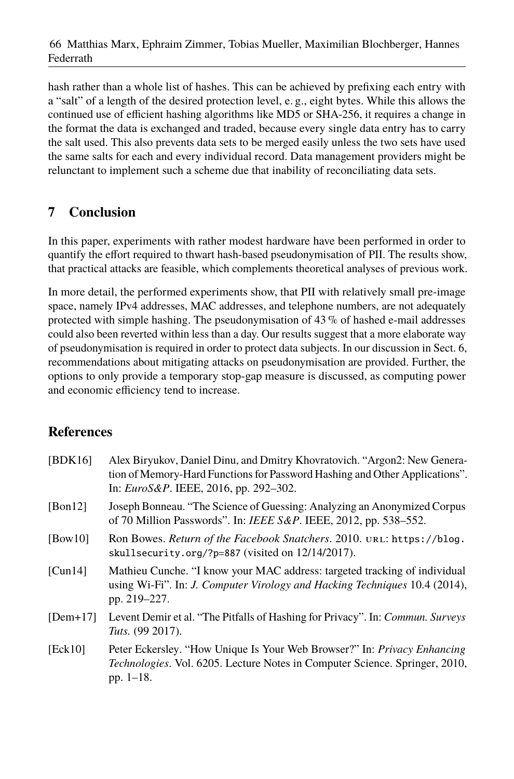hash rather than a whole list of hashes. This can be achieved by prefixing each entry with a "salt" of a length of the desired protection level, e. g., eight bytes. While this allows the continued use of efficient hashing algorithms like MD5 or SHA-256, it requires a change in the format the data is exchanged and traded, because every single data entry has to carry the salt used. This also prevents data sets to be merged easily unless the two sets have used the same salts for each and every individual record. Data management providers might be relunctant to implement such a scheme due that inability of reconciliating data sets.

# <span id="page-11-2"></span>**7 Conclusion**

In this paper, experiments with rather modest hardware have been performed in order to quantify the effort required to thwart hash-based pseudonymisation of PII. The results show, that practical attacks are feasible, which complements theoretical analyses of previous work.

In more detail, the performed experiments show, that PII with relatively small pre-image space, namely IPv4 addresses, MAC addresses, and telephone numbers, are not adequately protected with simple hashing. The pseudonymisation of  $43\%$  of hashed e-mail addresses could also been reverted within less than a day. Our results suggest that a more elaborate way of pseudonymisation is required in order to protect data subjects. In our discussion in [Sect. 6,](#page-8-0) recommendations about mitigating attacks on pseudonymisation are provided. Further, the options to only provide a temporary stop-gap measure is discussed, as computing power and economic efficiency tend to increase.

# **References**

<span id="page-11-6"></span><span id="page-11-5"></span><span id="page-11-4"></span><span id="page-11-3"></span><span id="page-11-1"></span><span id="page-11-0"></span>

| [BDK16]    | Alex Biryukov, Daniel Dinu, and Dmitry Khovratovich. "Argon2: New Genera-<br>tion of Memory-Hard Functions for Password Hashing and Other Applications".<br>In: <i>EuroS&amp;P</i> . IEEE, 2016, pp. 292-302. |
|------------|---------------------------------------------------------------------------------------------------------------------------------------------------------------------------------------------------------------|
| [Bon12]    | Joseph Bonneau. "The Science of Guessing: Analyzing an Anonymized Corpus<br>of 70 Million Passwords". In: IEEE S&P. IEEE, 2012, pp. 538–552.                                                                  |
| [bow10]    | Ron Bowes. Return of the Facebook Snatchers. 2010. URL: https://blog.<br>skullsecurity.org/?p=887 (visited on 12/14/2017).                                                                                    |
| [Cun14]    | Mathieu Cunche. "I know your MAC address: targeted tracking of individual<br>using Wi-Fi". In: J. Computer Virology and Hacking Techniques 10.4 (2014),<br>pp. 219–227.                                       |
| $[Dem+17]$ | Levent Demir et al. "The Pitfalls of Hashing for Privacy". In: <i>Commun. Surveys</i><br>Tuts. (99 2017).                                                                                                     |
| [Ek10]     | Peter Eckersley. "How Unique Is Your Web Browser?" In: <i>Privacy Enhancing</i><br>Technologies. Vol. 6205. Lecture Notes in Computer Science. Springer, 2010,<br>pp. $1-18$ .                                |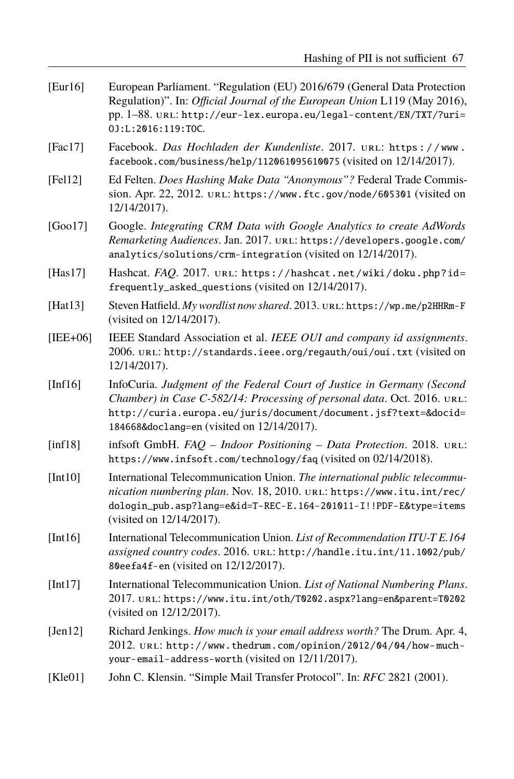<span id="page-12-2"></span>

| [Eur16] | European Parliament. "Regulation (EU) 2016/679 (General Data Protection<br>Regulation)". In: <i>Official Journal of the European Union</i> L119 (May 2016). |
|---------|-------------------------------------------------------------------------------------------------------------------------------------------------------------|
|         | pp. $1-88$ . URL: http://eur-lex.europa.eu/legal-content/EN/TXT/?uri=<br>0.1:1:2016:119:TOC.                                                                |

- <span id="page-12-4"></span>[Fac17] Facebook. *Das Hochladen der Kundenliste*. 2017. url: [https : / / www .](https://www.facebook.com/business/help/112061095610075) [facebook.com/business/help/112061095610075](https://www.facebook.com/business/help/112061095610075) (visited on 12/14/2017).
- <span id="page-12-5"></span>[Fel12] Ed Felten. *Does Hashing Make Data "Anonymous"?* Federal Trade Commission. Apr. 22, 2012. url: <https://www.ftc.gov/node/605301> (visited on 12/14/2017).
- <span id="page-12-3"></span>[Goo17] Google. *Integrating CRM Data with Google Analytics to create AdWords Remarketing Audiences*. Jan. 2017. url: [https://developers.google.com/](https://developers.google.com/analytics/solutions/crm-integration) [analytics/solutions/crm-integration](https://developers.google.com/analytics/solutions/crm-integration) (visited on 12/14/2017).
- <span id="page-12-13"></span>[Has17] Hashcat. *FAQ*. 2017. url: [https://hashcat.net/wiki/doku.php?id=](https://hashcat.net/wiki/doku.php?id=frequently_asked_questions) [frequently\\_asked\\_questions](https://hashcat.net/wiki/doku.php?id=frequently_asked_questions) (visited on 12/14/2017).
- <span id="page-12-12"></span>[Hat13] Steven Hatfield. *My wordlist now shared*. 2013. url: <https://wp.me/p2HHRm-F> (visited on 12/14/2017).
- <span id="page-12-7"></span>[IEE+06] IEEE Standard Association et al. *IEEE OUI and company id assignments*. 2006. url: <http://standards.ieee.org/regauth/oui/oui.txt> (visited on 12/14/2017).
- <span id="page-12-0"></span>[Inf16] InfoCuria. *Judgment of the Federal Court of Justice in Germany (Second Chamber) in Case C-582/14: Processing of personal data. Oct. 2016. URL:* [http://curia.europa.eu/juris/document/document.jsf?text=&docid=](http://curia.europa.eu/juris/document/document.jsf?text=&docid=184668&doclang=en) [184668&doclang=en](http://curia.europa.eu/juris/document/document.jsf?text=&docid=184668&doclang=en) (visited on 12/14/2017).
- <span id="page-12-6"></span>[inf18] infsoft GmbH. *FAQ – Indoor Positioning – Data Protection*. 2018. url: <https://www.infsoft.com/technology/faq> (visited on 02/14/2018).
- <span id="page-12-8"></span>[Int10] International Telecommunication Union. *The international public telecommunication numbering plan*. Nov. 18, 2010. url: [https://www.itu.int/rec/](https://www.itu.int/rec/dologin_pub.asp?lang=e&id=T-REC-E.164-201011-I!!PDF-E&type=items) [dologin\\_pub.asp?lang=e&id=T-REC-E.164-201011-I!!PDF-E&type=items](https://www.itu.int/rec/dologin_pub.asp?lang=e&id=T-REC-E.164-201011-I!!PDF-E&type=items) (visited on 12/14/2017).
- <span id="page-12-9"></span>[Int16] International Telecommunication Union. *List of Recommendation ITU-T E.164 assigned country codes*. 2016. url: [http://handle.itu.int/11.1002/pub/](http://handle.itu.int/11.1002/pub/80eefa4f-en) [80eefa4f-en](http://handle.itu.int/11.1002/pub/80eefa4f-en) (visited on 12/12/2017).
- <span id="page-12-10"></span>[Int17] International Telecommunication Union. *List of National Numbering Plans*. 2017. url: <https://www.itu.int/oth/T0202.aspx?lang=en&parent=T0202> (visited on 12/12/2017).
- <span id="page-12-1"></span>[Jen12] Richard Jenkings. *How much is your email address worth?* The Drum. Apr. 4, 2012. url: [http://www.thedrum.com/opinion/2012/04/04/how- much](http://www.thedrum.com/opinion/2012/04/04/how-much-your-email-address-worth)[your-email-address-worth](http://www.thedrum.com/opinion/2012/04/04/how-much-your-email-address-worth) (visited on 12/11/2017).
- <span id="page-12-11"></span>[Kle01] John C. Klensin. "Simple Mail Transfer Protocol". In: *RFC* 2821 (2001).